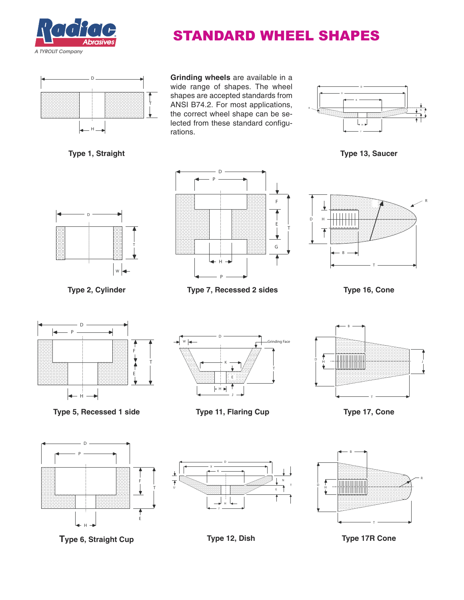

## STANDARD WHEEL SHAPES



**Type 1, Straight**

**Grinding wheels** are available in a wide range of shapes. The wheel shapes are accepted standards from ANSI B74.2. For most applications, the correct wheel shape can be selected from these standard configurations.



**Type 13, Saucer**



**Type 2, Cylinder**







**Type 16, Cone**



**Type 5, Recessed 1 side**



**Type 11, Flaring Cup**



**Type 17, Cone**



**Type 6, Straight Cup**



<sup>D</sup> <sup>H</sup> B **R** T

**Type 12, Dish**

**Type 17R Cone**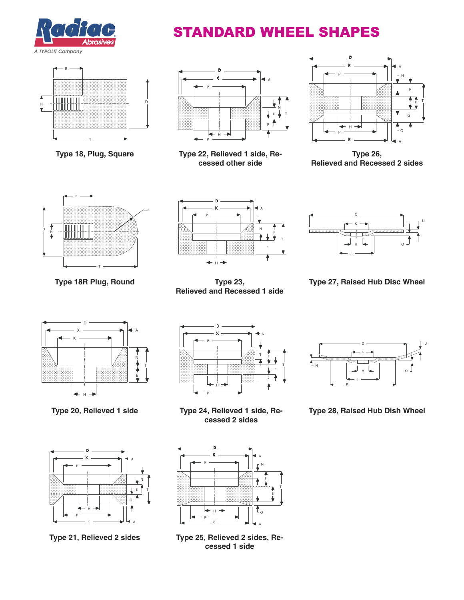

# STANDARD WHEEL SHAPES



**Type 18, Plug, Square**



**Type 22, Relieved 1 side, Recessed other side**



**Type 26, Relieved and Recessed 2 sides**



**Type 18R Plug, Round**



**Type 23, Relieved and Recessed 1 side**



**Type 27, Raised Hub Disc Wheel**



**Type 20, Relieved 1 side**



**Type 21, Relieved 2 sides**



**Type 24, Relieved 1 side, Recessed 2 sides**



**Type 25, Relieved 2 sides, Recessed 1 side**



**Type 28, Raised Hub Dish Wheel**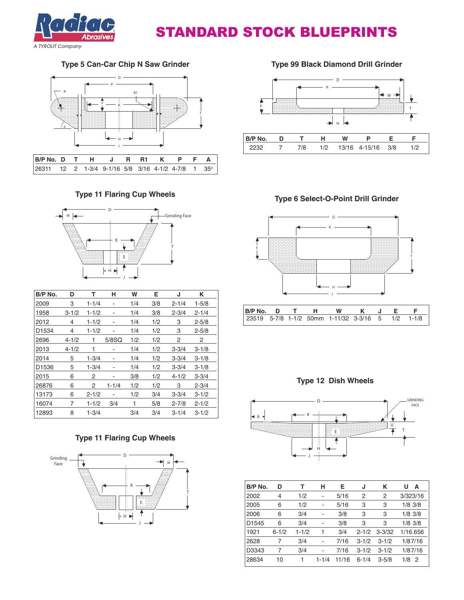

### STANDARD STOCK BLUEPRINTS

#### **Type 5 Can-Car Chip N Saw Grinder**



#### **Type 11 Flaring Cup Wheels**



| B/P No. | D         | т         | н                            | W   | Е   | J         | κ         |
|---------|-----------|-----------|------------------------------|-----|-----|-----------|-----------|
| 2009    | 3         | $1 - 1/4$ | $\qquad \qquad \blacksquare$ | 1/4 | 3/8 | $2 - 1/4$ | $1 - 5/8$ |
| 1958    | $3 - 1/2$ | $1 - 1/2$ |                              | 1/4 | 3/8 | $2 - 3/4$ | $2 - 1/4$ |
| 2012    | 4         | $1 - 1/2$ |                              | 1/4 | 1/2 | 3         | $2 - 5/8$ |
| D1534   | 4         | $1 - 1/2$ | -                            | 1/4 | 1/2 | 3         | $2 - 5/8$ |
| 2696    | $4 - 1/2$ | 1         | $5/8$ SQ                     | 1/2 | 1/2 | 2         | 2         |
| 2013    | $4 - 1/2$ | 1         | ۰                            | 1/4 | 1/2 | $3 - 3/4$ | $3 - 1/8$ |
| 2014    | 5         | $1 - 3/4$ | $\qquad \qquad \blacksquare$ | 1/4 | 1/2 | $3 - 3/4$ | $3 - 1/8$ |
| D1536   | 5         | $1 - 3/4$ | ۰                            | 1/4 | 1/2 | $3 - 3/4$ | $3 - 1/8$ |
| 2015    | 6         | 2         | ۰                            | 3/8 | 1/2 | $4 - 1/2$ | $3 - 3/4$ |
| 26876   | 6         | 2         | $1 - 1/4$                    | 1/2 | 1/2 | З         | $2 - 3/4$ |
| 13173   | 6         | $2 - 1/2$ | ٠                            | 1/2 | 3/4 | $3 - 3/4$ | $3 - 1/2$ |
| 16074   | 7         | $1 - 1/2$ | 3/4                          | 1   | 5/8 | $2 - 7/8$ | $2 - 1/2$ |
| 12893   | 8         | $1 - 3/4$ |                              | 3/4 | 3/4 | $3 - 1/4$ | $3 - 1/2$ |

#### **Type 11 Flaring Cup Wheels**



**Type 99 Black Diamond Drill Grinder**



**Type 6 Select-O-Point Drill Grinder**



#### **Type 12 Dish Wheels**



| B/P No.           | D              | т         | н              | Е     | J         | Κ          | U<br>Α                |
|-------------------|----------------|-----------|----------------|-------|-----------|------------|-----------------------|
| 2002              | 4              | 1/2       | -              | 5/16  | 2         | 2          | 3/323/16              |
| 2005              | 6              | 1/2       | $\overline{a}$ | 5/16  | 3         | 3          | $1/8$ 3/8             |
| 2006              | 6              | 3/4       | ÷,             | 3/8   | 3         | 3          | $1/8$ 3/8             |
| D <sub>1545</sub> | 6              | 3/4       | ä,             | 3/8   | 3         | 3          | $1/8$ 3/8             |
| 1921              | $6 - 1/2$      | $1 - 1/2$ | 1              | 3/4   | $2 - 1/2$ | $3 - 3/32$ | 1/16.656              |
| 2628              | $\overline{7}$ | 3/4       | ÷,             | 7/16  | $3 - 1/2$ | $3 - 1/2$  | 1/87/16               |
| D3343             | $\overline{7}$ | 3/4       | $\overline{a}$ | 7/16  | $3 - 1/2$ | $3 - 1/2$  | 1/87/16               |
| 28634             | 10             | 1         | $1 - 1/4$      | 11/16 | $6 - 1/4$ | $3 - 5/8$  | 1/8<br>$\overline{2}$ |